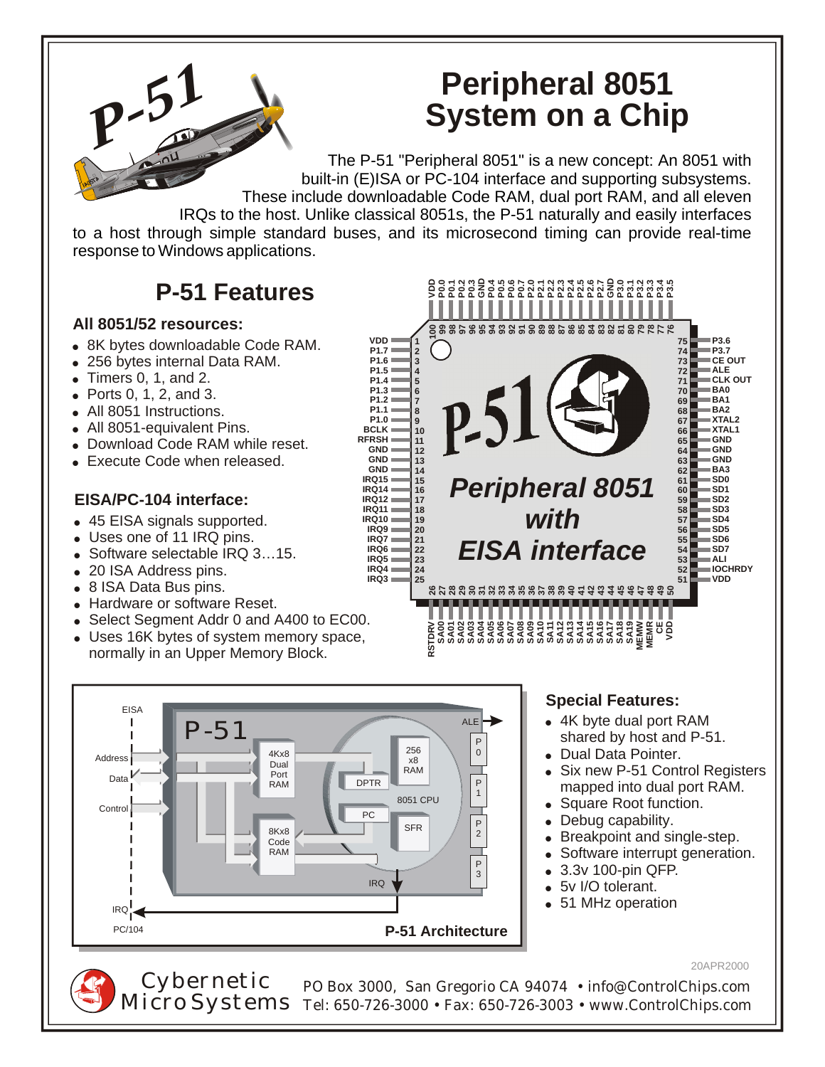# **Peripheral 8051 System on a Chip**

ΟΟΥΝΜΩ ΦΗ ΦΟΥΟΥΝΜΑΝ ΦΙΑ ΦΑ ΠΑΤΑ ΠΑΤΑ<br>ΟΘΟΟΣΟΘΟΟΣΗ ΜΑΝΝΑΝ ΤΟ ΠΑΤΑ ΠΑΤΑ<br>ΟΘΥΝΜΩ ΦΗ ΦΟΝΟΥΝΜΑΝ ΦΙΑ ΟΘΥΝΜΑΝ

*Peripheral 8051*

*with*

*EISA interface*

**26 27 28 29 30 31 32 33 34 35 36 37 38 39 40 41 42 43 44 45 46 47 48 49 50**

ទីក្នុងទីក្នុងទីក្នុងទីក្នុងទីក្នុងទីក្នុងទីក្<br>ទីក្នុងទីក្នុងទីក្នុងទីក្នុងទីក្នុងទីក្នុងទីក្<br>ទីក្នុងទីក្នុងទីក្នុងទីក្នុងទីក្នុងទីក្នុងទីក្នុង

.................

*P-51* The P-51 "Peripheral 8051" is a new concept: An 8051 with built-in (E)ISA or PC-104 interface and supporting subsystems. These include downloadable Code RAM, dual port RAM, and all eleven IRQs to the host. Unlike classical 8051s, the P-51 naturally and easily interfaces to a host through simple standard buses, and its microsecond timing can provide real-time

> **100 99 98 97 96 95 94 93 92 91 90 89 88 87 86 85 84 83 82 81 80 79 78 77 76**

 $P<sub>2</sub>$ 

response to Windows applications.

## **P-51 Features**

#### **All 8051/52 resources:**

- 8K bytes downloadable Code RAM.
- 256 bytes internal Data RAM.
- $\bullet$  Timers 0, 1, and 2.
- $\bullet$  Ports 0, 1, 2, and 3.
- All 8051 Instructions.
- All 8051-equivalent Pins.
- Download Code RAM while reset.
- Execute Code when released.

#### **EISA/PC-104 interface:**

- 45 EISA signals supported.
- Uses one of 11 IRQ pins.
- Software selectable IRQ 3...15.
- 20 ISA Address pins.
- 8 ISA Data Bus pins.
- Hardware or software Reset.
- Select Segment Addr 0 and A400 to EC00.
- Uses 16K bytes of system memory space, normally in an Upper Memory Block.



#### **Special Features:**

- 4K byte dual port RAM shared by host and P-51.
- Dual Data Pointer.
- Six new P-51 Control Registers mapped into dual port RAM.

8 **VDD**

- Square Root function.
- Debug capability.
- Breakpoint and single-step.
- Software interrupt generation.
- ! 3.3v 100-pin QFP.
- ! 5v I/O tolerant.
- 51 MHz operation

20APR2000

**P3.6 P3.7 CE OUT ALE CLK OUT BA0 BA1 BA2 XTAL2 XTAL1 GND GND GND BA3 SD0 SD1 SD2 SD3 SD4 SD5 SD6 SD7 ALI IOCHRDY VDD**

PO Box 3000, San Gregorio CA 94074 • info@ControlChips.com  $Microsoft$   $\overline{\text{Micro}}$  Systems Tel: 650-726-3000 • Fax: 650-726-3003 • www.ControlChips.com Cybernetic



**IRQ3**

**RSTDRV**

**25**

**VDD P1.7 P1.6 P1.5 P1.4 P1.3 P1.2 P1.1 P1.0 BCLK RFRSH GND**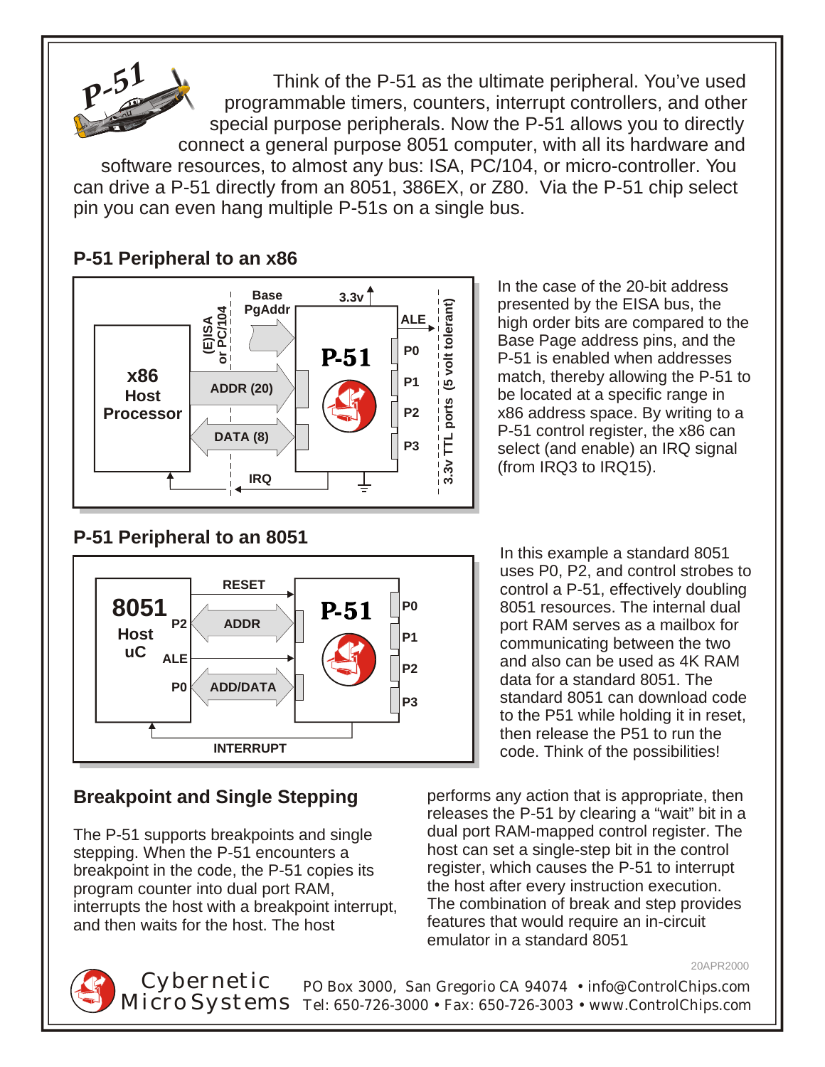

 Think of the P-51 as the ultimate peripheral. You've used programmable timers, counters, interrupt controllers, and other special purpose peripherals. Now the P-51 allows you to directly connect a general purpose 8051 computer, with all its hardware and

software resources, to almost any bus: ISA, PC/104, or micro-controller. You can drive a P-51 directly from an 8051, 386EX, or Z80. Via the P-51 chip select pin you can even hang multiple P-51s on a single bus.



### **P-51 Peripheral to an x86**

In the case of the 20-bit address presented by the EISA bus, the high order bits are compared to the Base Page address pins, and the P-51 is enabled when addresses match, thereby allowing the P-51 to be located at a specific range in x86 address space. By writing to a P-51 control register, the x86 can select (and enable) an IRQ signal (from IRQ3 to IRQ15).

#### **P-51 Peripheral to an 8051**



breakpoint in the code, the P-51 copies its program counter into dual port RAM,<br>interrupts the host with a breakpoint interrupt. The combination of break and step provides interrupts the host with a breakpoint interrupt, and then waits for the host. The host **features** that would require an in-circuit

In this example a standard 8051 uses P0, P2, and control strobes to control a P-51, effectively doubling 8051 resources. The internal dual port RAM serves as a mailbox for communicating between the two and also can be used as 4K RAM data for a standard 8051. The standard 8051 can download code to the P51 while holding it in reset, then release the P51 to run the code. Think of the possibilities!

**Breakpoint and Single Stepping** performs any action that is appropriate, then releases the P-51 by clearing a "wait" bit in a The P-51 supports breakpoints and single dual port RAM-mapped control register. The stepping. When the P-51 encounters a host can set a single-step bit in the control host can set a single-step bit in the control<br>register, which causes the P-51 to interrupt emulator in a standard 8051

20APR2000

PO Box 3000, San Gregorio CA 94074 • info@ControlChips.com Tel: 650-726-3000 • Fax: 650-726-3003 • www.ControlChips.com Cybernetic Micro Systems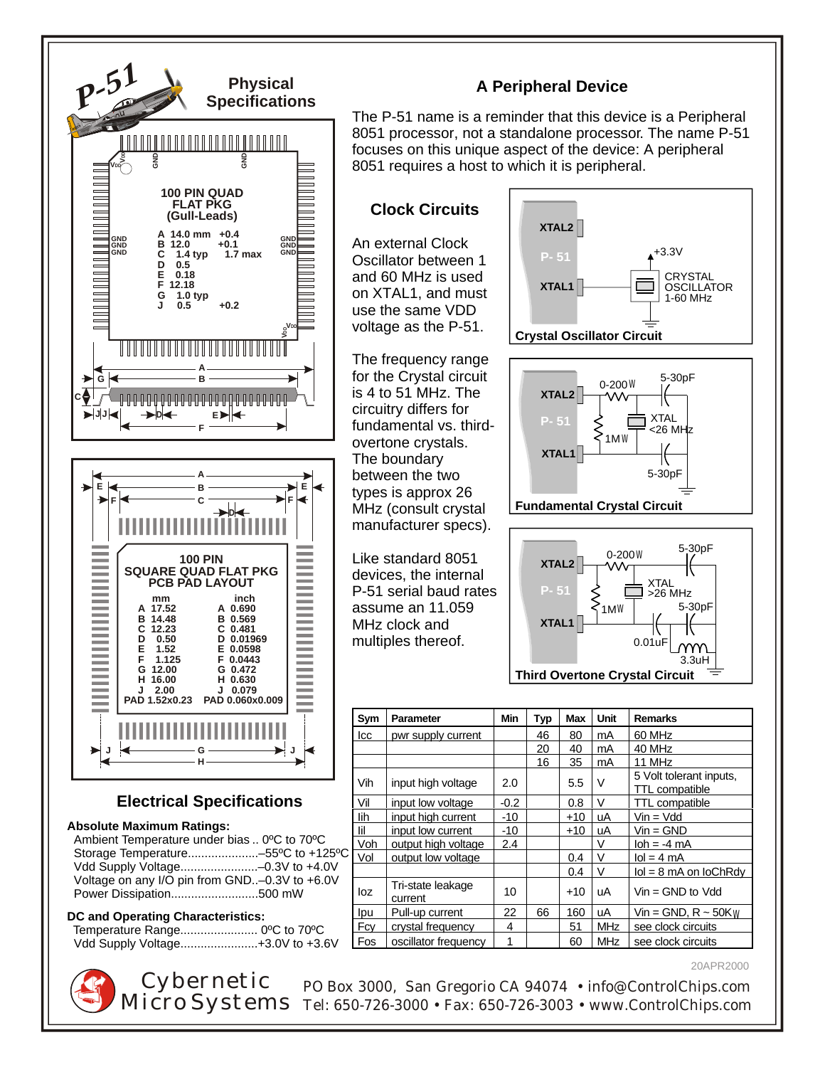

PO Box 3000, San Gregorio CA 94074 • info@ControlChips.com Tel: 650-726-3000 • Fax: 650-726-3003 • www.ControlChips.com Cybernetic Micro Systems

20APR2000